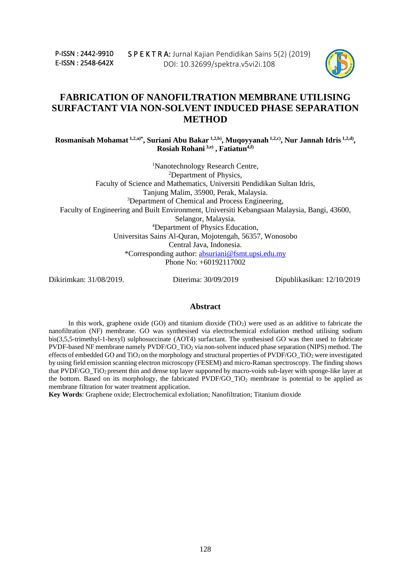P-ISSN : 2442-9910 E-ISSN : 2548-642X



# **FABRICATION OF NANOFILTRATION MEMBRANE UTILISING SURFACTANT VIA NON-SOLVENT INDUCED PHASE SEPARATION METHOD**

**Rosmanisah Mohamat 1,2,a)\* , Suriani Abu Bakar 1,2,b) , Muqoyyanah 1,2,c) , Nur Jannah Idris 1,2,d) , Rosiah Rohani 3,e) , Fatiatun4,f)**

<sup>1</sup>Nanotechnology Research Centre, <sup>2</sup>Department of Physics, Faculty of Science and Mathematics, Universiti Pendidikan Sultan Idris, Tanjung Malim, 35900, Perak, Malaysia. <sup>3</sup>Department of Chemical and Process Engineering, Faculty of Engineering and Built Environment, Universiti Kebangsaan Malaysia, Bangi, 43600, Selangor, Malaysia. <sup>4</sup>Department of Physics Education, Universitas Sains Al-Quran, Mojotengah, 56357, Wonosobo Central Java, Indonesia. \*Corresponding author: [absuriani@fsmt.upsi.edu.my](mailto:absuriani@fsmt.upsi.edu.my) Phone No: +60192117002

Dikirimkan: 31/08/2019. Diterima: 30/09/2019 Dipublikasikan: 12/10/2019

#### **Abstract**

In this work, graphene oxide  $(GO)$  and titanium dioxide  $(TiO<sub>2</sub>)$  were used as an additive to fabricate the nanofiltration (NF) membrane. GO was synthesised via electrochemical exfoliation method utilising sodium bis(3,5,5-trimethyl-1-hexyl) sulphosuccinate (AOT4) surfactant. The synthesised GO was then used to fabricate PVDF-based NF membrane namely PVDF/GO\_TiO<sub>2</sub> via non-solvent induced phase separation (NIPS) method. The effects of embedded GO and  $TiO<sub>2</sub>$  on the morphology and structural properties of PVDF/GO\_TiO<sub>2</sub> were investigated by using field emission scanning electron microscopy (FESEM) and micro-Raman spectroscopy. The finding shows that PVDF/GO\_TiO<sup>2</sup> present thin and dense top layer supported by macro-voids sub-layer with sponge-like layer at the bottom. Based on its morphology, the fabricated PVDF/GO\_TiO<sup>2</sup> membrane is potential to be applied as membrane filtration for water treatment application.

**Key Words**: Graphene oxide; Electrochemical exfoliation; Nanofiltration; Titanium dioxide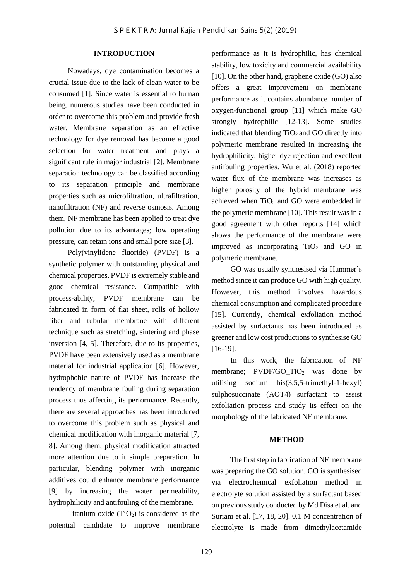## **INTRODUCTION**

Nowadays, dye contamination becomes a crucial issue due to the lack of clean water to be consumed [1]. Since water is essential to human being, numerous studies have been conducted in order to overcome this problem and provide fresh water. Membrane separation as an effective technology for dye removal has become a good selection for water treatment and plays a significant rule in major industrial [2]. Membrane separation technology can be classified according to its separation principle and membrane properties such as microfiltration, ultrafiltration, nanofiltration (NF) and reverse osmosis. Among them, NF membrane has been applied to treat dye pollution due to its advantages; low operating pressure, can retain ions and small pore size [3].

Poly(vinylidene fluoride) (PVDF) is a synthetic polymer with outstanding physical and chemical properties. PVDF is extremely stable and good chemical resistance. Compatible with process-ability, PVDF membrane can be fabricated in form of flat sheet, rolls of hollow fiber and tubular membrane with different technique such as stretching, sintering and phase inversion [4, 5]. Therefore, due to its properties, PVDF have been extensively used as a membrane material for industrial application [6]. However, hydrophobic nature of PVDF has increase the tendency of membrane fouling during separation process thus affecting its performance. Recently, there are several approaches has been introduced to overcome this problem such as physical and chemical modification with inorganic material [7, 8]. Among them, physical modification attracted more attention due to it simple preparation. In particular, blending polymer with inorganic additives could enhance membrane performance [9] by increasing the water permeability, hydrophilicity and antifouling of the membrane.

Titanium oxide  $(TiO<sub>2</sub>)$  is considered as the potential candidate to improve membrane

performance as it is hydrophilic, has chemical stability, low toxicity and commercial availability [10]. On the other hand, graphene oxide (GO) also offers a great improvement on membrane performance as it contains abundance number of oxygen-functional group [11] which make GO strongly hydrophilic [12-13]. Some studies indicated that blending  $TiO<sub>2</sub>$  and GO directly into polymeric membrane resulted in increasing the hydrophilicity, higher dye rejection and excellent antifouling properties. Wu et al. (2018) reported water flux of the membrane was increases as higher porosity of the hybrid membrane was achieved when  $TiO<sub>2</sub>$  and GO were embedded in the polymeric membrane [10]. This result was in a good agreement with other reports [14] which shows the performance of the membrane were improved as incorporating  $TiO<sub>2</sub>$  and GO in polymeric membrane.

GO was usually synthesised via Hummer's method since it can produce GO with high quality. However, this method involves hazardous chemical consumption and complicated procedure [15]. Currently, chemical exfoliation method assisted by surfactants has been introduced as greener and low cost productions to synthesise GO [16-19].

In this work, the fabrication of NF membrane; PVDF/GO  $TiO<sub>2</sub>$  was done by utilising sodium bis(3,5,5-trimethyl-1-hexyl) sulphosuccinate (AOT4) surfactant to assist exfoliation process and study its effect on the morphology of the fabricated NF membrane.

#### **METHOD**

The first step in fabrication of NF membrane was preparing the GO solution. GO is synthesised via electrochemical exfoliation method in electrolyte solution assisted by a surfactant based on previous study conducted by Md Disa et al. and Suriani et al. [17, 18, 20]. 0.1 M concentration of electrolyte is made from dimethylacetamide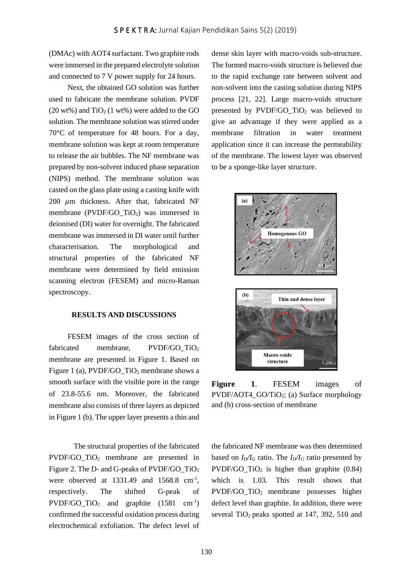(DMAc) with AOT4 surfactant. Two graphite rods were immersed in the prepared electrolyte solution and connected to 7 V power supply for 24 hours.

Next, the obtained GO solution was further used to fabricate the membrane solution. PVDF  $(20 \text{ wt})$  and  $TiO<sub>2</sub>$  (1 wt%) were added to the GO solution. The membrane solution was stirred under 70°C of temperature for 48 hours. For a day, membrane solution was kept at room temperature to release the air bubbles. The NF membrane was prepared by non-solvent induced phase separation (NIPS) method. The membrane solution was casted on the glass plate using a casting knife with 200  $\mu$ m thickness. After that, fabricated NF membrane (PVDF/GO\_TiO2) was immersed in deionised (DI) water for overnight. The fabricated membrane was immersed in DI water until further characterisation. The morphological and structural properties of the fabricated NF membrane were determined by field emission scanning electron (FESEM) and micro-Raman spectroscopy.

#### **RESULTS AND DISCUSSIONS**

FESEM images of the cross section of fabricated membrane, PVDF/GO\_TiO<sub>2</sub> membrane are presented in Figure 1. Based on Figure 1 (a),  $PVDF/GO_TiO_2$  membrane shows a smooth surface with the visible pore in the range of 23.8-55.6 nm. Moreover, the fabricated membrane also consists of three layers as depicted in Figure 1 (b). The upper layer presents a thin and

The structural properties of the fabricated PVDF/GO TiO<sub>2</sub> membrane are presented in Figure 2. The D- and G-peaks of PVDF/GO\_TiO<sup>2</sup> were observed at  $1331.49$  and  $1568.8$  cm<sup>-1</sup>, respectively. The shifted G-peak of  $PVDF/GO_TiO_2$  and graphite (1581 cm<sup>-1</sup>) confirmed the successful oxidation process during electrochemical exfoliation. The defect level of

dense skin layer with macro-voids sub-structure. The formed macro-voids structure is believed due to the rapid exchange rate between solvent and non-solvent into the casting solution during NIPS process [21, 22]. Large macro-voids structure presented by PVDF/GO  $TiO<sub>2</sub>$  was believed to give an advantage if they were applied as a membrane filtration in water treatment application since it can increase the permeability of the membrane. The lowest layer was observed to be a sponge-like layer structure.



**Figure 1**. FESEM images of PVDF/AOT4\_GO/TiO2; (a) Surface morphology and (b) cross-section of membrane

the fabricated NF membrane was then determined based on  $I_D/I_G$  ratio. The  $I_D/I_G$  ratio presented by  $PVDF/GO_TiO_2$  is higher than graphite (0.84) which is 1.03. This result shows that PVDF/GO\_TiO<sup>2</sup> membrane possesses higher defect level than graphite. In addition, there were several TiO<sub>2</sub> peaks spotted at 147, 392, 510 and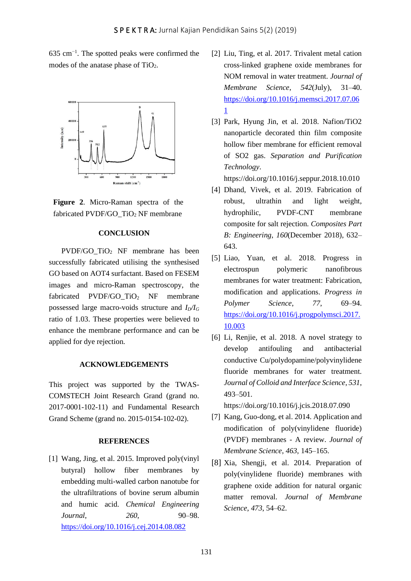635 cm−1 . The spotted peaks were confirmed the modes of the anatase phase of  $TiO<sub>2</sub>$ .



**Figure 2**. Micro-Raman spectra of the fabricated PVDF/GO\_TiO<sup>2</sup> NF membrane

# **CONCLUSION**

PVDF/GO\_TiO<sup>2</sup> NF membrane has been successfully fabricated utilising the synthesised GO based on AOT4 surfactant. Based on FESEM images and micro-Raman spectroscopy, the fabricated PVDF/GO\_TiO<sup>2</sup> NF membrane possessed large macro-voids structure and *ID/I<sup>G</sup>* ratio of 1.03. These properties were believed to enhance the membrane performance and can be applied for dye rejection.

### **ACKNOWLEDGEMENTS**

This project was supported by the TWAS-COMSTECH Joint Research Grand (grand no. 2017-0001-102-11) and Fundamental Research Grand Scheme (grand no. 2015-0154-102-02).

#### **REFERENCES**

[1] Wang, Jing, et al. 2015. Improved poly(vinyl butyral) hollow fiber membranes by embedding multi-walled carbon nanotube for the ultrafiltrations of bovine serum albumin and humic acid. *Chemical Engineering Journal*, *260*, 90–98. <https://doi.org/10.1016/j.cej.2014.08.082>

- [2] Liu, Ting, et al. 2017. Trivalent metal cation cross-linked graphene oxide membranes for NOM removal in water treatment. *Journal of Membrane Science*, *542*(July), 31–40. [https://doi.org/10.1016/j.memsci.2017.07.06](https://doi.org/10.1016/j.memsci.2017.07.061) [1](https://doi.org/10.1016/j.memsci.2017.07.061)
- [3] Park, Hyung Jin, et al. 2018. Nafion/TiO2 nanoparticle decorated thin film composite hollow fiber membrane for efficient removal of SO2 gas. *Separation and Purification Technology*.

https://doi.org/10.1016/j.seppur.2018.10.010

- [4] Dhand, Vivek, et al. 2019. Fabrication of robust, ultrathin and light weight, hydrophilic, PVDF-CNT membrane composite for salt rejection. *Composites Part B: Engineering*, *160*(December 2018), 632– 643.
- [5] Liao, Yuan, et al. 2018. Progress in electrospun polymeric nanofibrous membranes for water treatment: Fabrication, modification and applications. *Progress in Polymer Science*, *77*, 69–94. [https://doi.org/10.1016/j.progpolymsci.2017.](https://doi.org/10.1016/j.progpolymsci.2017.10.003) [10.003](https://doi.org/10.1016/j.progpolymsci.2017.10.003)
- [6] Li, Renjie, et al. 2018. A novel strategy to develop antifouling and antibacterial conductive Cu/polydopamine/polyvinylidene fluoride membranes for water treatment. *Journal of Colloid and Interface Science*, *531*, 493–501.

https://doi.org/10.1016/j.jcis.2018.07.090

- [7] Kang, Guo-dong, et al. 2014. Application and modification of poly(vinylidene fluoride) (PVDF) membranes - A review. *Journal of Membrane Science*, *463*, 145–165.
- [8] Xia, Shengji, et al. 2014. Preparation of poly(vinylidene fluoride) membranes with graphene oxide addition for natural organic matter removal. *Journal of Membrane Science*, *473*, 54–62.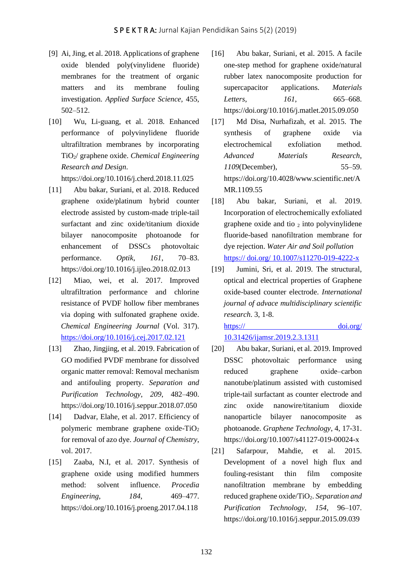- [9] Ai, Jing, et al. 2018. Applications of graphene oxide blended poly(vinylidene fluoride) membranes for the treatment of organic matters and its membrane fouling investigation. *Applied Surface Science,* 455, 502–512.
- [10] Wu, Li-guang, et al. 2018. Enhanced performance of polyvinylidene fluoride ultrafiltration membranes by incorporating TiO2/ graphene oxide. *Chemical Engineering Research and Design*.

https://doi.org/10.1016/j.cherd.2018.11.025

- [11] Abu bakar, Suriani, et al. 2018. Reduced graphene oxide/platinum hybrid counter electrode assisted by custom-made triple-tail surfactant and zinc oxide/titanium dioxide bilayer nanocomposite photoanode for enhancement of DSSCs photovoltaic performance. *Optik*, *161*, 70–83. https://doi.org/10.1016/j.ijleo.2018.02.013
- [12] Miao, wei, et al. 2017. Improved ultrafiltration performance and chlorine resistance of PVDF hollow fiber membranes via doping with sulfonated graphene oxide. *Chemical Engineering Journal* (Vol. 317). <https://doi.org/10.1016/j.cej.2017.02.121>
- [13] Zhao, Jingjing, et al. 2019. Fabrication of GO modified PVDF membrane for dissolved organic matter removal: Removal mechanism and antifouling property. *Separation and Purification Technology*, *209*, 482–490. https://doi.org/10.1016/j.seppur.2018.07.050
- [14] Dadvar, Elahe, et al. 2017. Efficiency of polymeric membrane graphene oxide-TiO<sup>2</sup> for removal of azo dye. *Journal of Chemistry*, vol. 2017.
- [15] Zaaba, N.I, et al. 2017. Synthesis of graphene oxide using modified hummers method: solvent influence. *Procedia Engineering*, *184*, 469–477. https://doi.org/10.1016/j.proeng.2017.04.118
- [16] Abu bakar, Suriani, et al. 2015. A facile one-step method for graphene oxide/natural rubber latex nanocomposite production for supercapacitor applications. *Materials Letters*, *161*, 665–668. https://doi.org/10.1016/j.matlet.2015.09.050
- [17] Md Disa, Nurhafizah, et al. 2015. The synthesis of graphene oxide via electrochemical exfoliation method. *Advanced Materials Research*, *1109*(December), 55–59. https://doi.org/10.4028/www.scientific.net/A MR.1109.55
- [18] Abu bakar, Suriani, et al. 2019. Incorporation of electrochemically exfoliated graphene oxide and tio  $_2$  into polyvinylidene fluoride-based nanofiltration membrane for dye rejection. *Water Air and Soil pollution*  https:// doi.org/ 10.1007/s11270-019-4222-x
- [19] Jumini, Sri, et al. 2019. The structural, optical and electrical properties of Graphene oxide-based counter electrode. *International journal of advace multidisciplinary scientific research*. 3, 1-8.

https:// doi.org/ 10.31426/ijamsr.2019.2.3.1311

- [20] Abu bakar, Suriani, et al. 2019. Improved DSSC photovoltaic performance using reduced graphene oxide–carbon nanotube/platinum assisted with customised triple-tail surfactant as counter electrode and zinc oxide nanowire/titanium dioxide nanoparticle bilayer nanocomposite as photoanode. *Graphene Technology*, 4, 17-31. https://doi.org/10.1007/s41127-019-00024-x
- [21] Safarpour, Mahdie, et al. 2015. Development of a novel high flux and fouling-resistant thin film composite nanofiltration membrane by embedding reduced graphene oxide/TiO2. *Separation and Purification Technology*, *154*, 96–107. https://doi.org/10.1016/j.seppur.2015.09.039